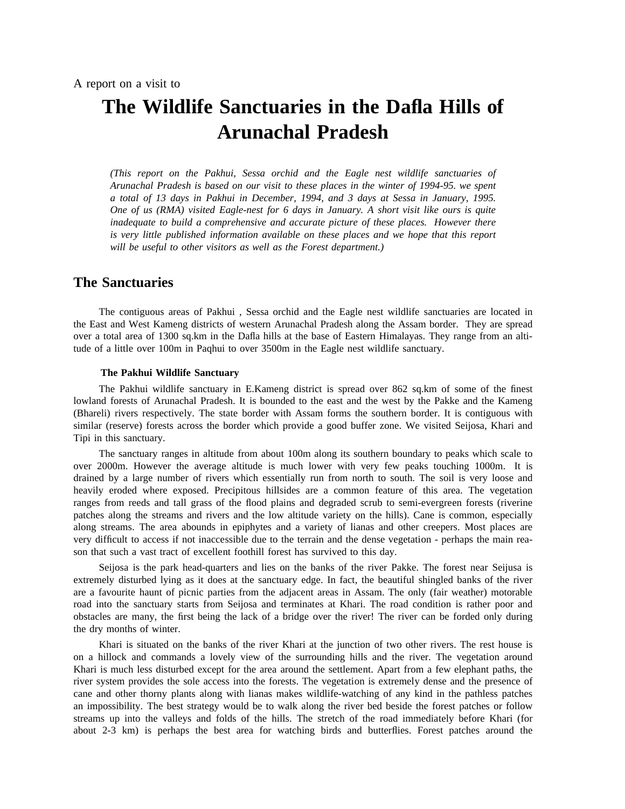# **The Wildlife Sanctuaries in the Dafla Hills of Arunachal Pradesh**

*( This report on the Pakhui, Sessa orchid and the Eagle nest wildlife sanctuaries of t Arunachal Pradesh is based on our visit to these places in the winter of 1994-95. we spen a total of 13 days in Pakhui in December, 1994, and 3 days at Sessa in January, 1995. i nadequate to build a comprehensive and accurate picture of these places. However there One of us (RMA) visited Eagle-nest for 6 days in January. A short visit like ours is quite t is very little published information available on these places and we hope that this repor w ill be useful to other visitors as well as the Forest department.)*

#### **The Sanctuaries**

The contiguous areas of Pakhui , Sessa orchid and the Eagle nest wildlife sanctuaries are located in the East and West Kameng districts of western Arunachal Pradesh along the Assam border. They are spread o ver a total area of 1300 sq.km in the Dafla hills at the base of Eastern Himalayas. They range from an altitude of a little over 100m in Paqhui to over 3500m in the Eagle nest wildlife sanctuary.

#### **The Pakhui Wildlife Sanctuary**

The Pakhui wildlife sanctuary in E.Kameng district is spread over 862 sq.km of some of the finest ( Bhareli) rivers respectively. The state border with Assam forms the southern border. It is contiguous with lowland forests of Arunachal Pradesh. It is bounded to the east and the west by the Pakke and the Kameng similar (reserve) forests across the border which provide a good buffer zone. We visited Seijosa, Khari and T ipi in this sanctuary.

The sanctuary ranges in altitude from about 100m along its southern boundary to peaks which scale to over 2000m. However the average altitude is much lower with very few peaks touching 1000m. It is d rained by a large number of rivers which essentially run from north to south. The soil is very loose and n heavily eroded where exposed. Precipitous hillsides are a common feature of this area. The vegetatio r anges from reeds and tall grass of the flood plains and degraded scrub to semi-evergreen forests (riverine a long streams. The area abounds in epiphytes and a variety of lianas and other creepers. Most places are patches along the streams and rivers and the low altitude variety on the hills). Cane is common, especially - very difficult to access if not inaccessible due to the terrain and the dense vegetation - perhaps the main rea s on that such a vast tract of excellent foothill forest has survived to this day.

s Seijosa is the park head-quarters and lies on the banks of the river Pakke. The forest near Seijusa i e xtremely disturbed lying as it does at the sanctuary edge. In fact, the beautiful shingled banks of the river r oad into the sanctuary starts from Seijosa and terminates at Khari. The road condition is rather poor and are a favourite haunt of picnic parties from the adjacent areas in Assam. The only (fair weather) motorable g obstacles are many, the first being the lack of a bridge over the river! The river can be forded only durin t he dry months of winter.

Khari is situated on the banks of the river Khari at the junction of two other rivers. The rest house is K hari is much less disturbed except for the area around the settlement. Apart from a few elephant paths, the on a hillock and commands a lovely view of the surrounding hills and the river. The vegetation around river system provides the sole access into the forests. The vegetation is extremely dense and the presence of c ane and other thorny plants along with lianas makes wildlife-watching of any kind in the pathless patches s treams up into the valleys and folds of the hills. The stretch of the road immediately before Khari (for an impossibility. The best strategy would be to walk along the river bed beside the forest patches or follow about 2-3 km) is perhaps the best area for watching birds and butterflies. Forest patches around the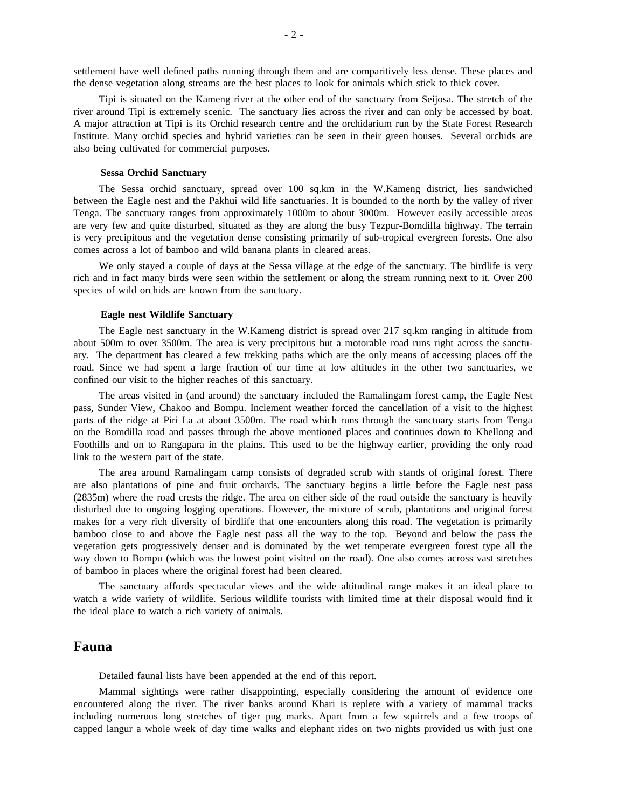settlement have well defined paths running through them and are comparitively less dense. These places and the dense vegetation along streams are the best places to look for animals which stick to thick cover.

Tipi is situated on the Kameng river at the other end of the sanctuary from Seijosa. The stretch of the river around Tipi is extremely scenic. The sanctuary lies across the river and can only be accessed by boat. A major attraction at Tipi is its Orchid research centre and the orchidarium run by the State Forest Research Institute. Many orchid species and hybrid varieties can be seen in their green houses. Several orchids are a lso being cultivated for commercial purposes.

#### **Sessa Orchid Sanctuary**

T he Sessa orchid sanctuary, spread over 100 sq.km in the W.Kameng district, lies sandwiched between the Eagle nest and the Pakhui wild life sanctuaries. It is bounded to the north by the valley of river T enga. The sanctuary ranges from approximately 1000m to about 3000m. However easily accessible areas i s very precipitous and the vegetation dense consisting primarily of sub-tropical evergreen forests. One also are very few and quite disturbed, situated as they are along the busy Tezpur-Bomdilla highway. The terrain comes across a lot of bamboo and wild banana plants in cleared areas.

We only stayed a couple of days at the Sessa village at the edge of the sanctuary. The birdlife is very rich and in fact many birds were seen within the settlement or along the stream running next to it. Over 200 s pecies of wild orchids are known from the sanctuary.

#### **Eagle nest Wildlife Sanctuary**

T he Eagle nest sanctuary in the W.Kameng district is spread over 217 sq.km ranging in altitude from about 500m to over 3500m. The area is very precipitous but a motorable road runs right across the sanctua ry. The department has cleared a few trekking paths which are the only means of accessing places off the road. Since we had spent a large fraction of our time at low altitudes in the other two sanctuaries, we c onfined our visit to the higher reaches of this sanctuary.

The areas visited in (and around) the sanctuary included the Ramalingam forest camp, the Eagle Nest pass, Sunder View, Chakoo and Bompu. Inclement weather forced the cancellation of a visit to the highest p arts of the ridge at Piri La at about 3500m. The road which runs through the sanctuary starts from Tenga F oothills and on to Rangapara in the plains. This used to be the highway earlier, providing the only road on the Bomdilla road and passes through the above mentioned places and continues down to Khellong and link to the western part of the state.

The area around Ramalingam camp consists of degraded scrub with stands of original forest. There are also plantations of pine and fruit orchards. The sanctuary begins a little before the Eagle nest pass ( 2835m) where the road crests the ridge. The area on either side of the road outside the sanctuary is heavily disturbed due to ongoing logging operations. However, the mixture of scrub, plantations and original forest m akes for a very rich diversity of birdlife that one encounters along this road. The vegetation is primarily bamboo close to and above the Eagle nest pass all the way to the top. Beyond and below the pass the v egetation gets progressively denser and is dominated by the wet temperate evergreen forest type all the way down to Bompu (which was the lowest point visited on the road). One also comes across vast stretches o f bamboo in places where the original forest had been cleared.

The sanctuary affords spectacular views and the wide altitudinal range makes it an ideal place to w atch a wide variety of wildlife. Serious wildlife tourists with limited time at their disposal would find it the ideal place to watch a rich variety of animals.

## **F auna**

Detailed faunal lists have been appended at the end of this report.

Mammal sightings were rather disappointing, especially considering the amount of evidence one e ncountered along the river. The river banks around Khari is replete with a variety of mammal tracks f including numerous long stretches of tiger pug marks. Apart from a few squirrels and a few troops o c apped langur a whole week of day time walks and elephant rides on two nights provided us with just one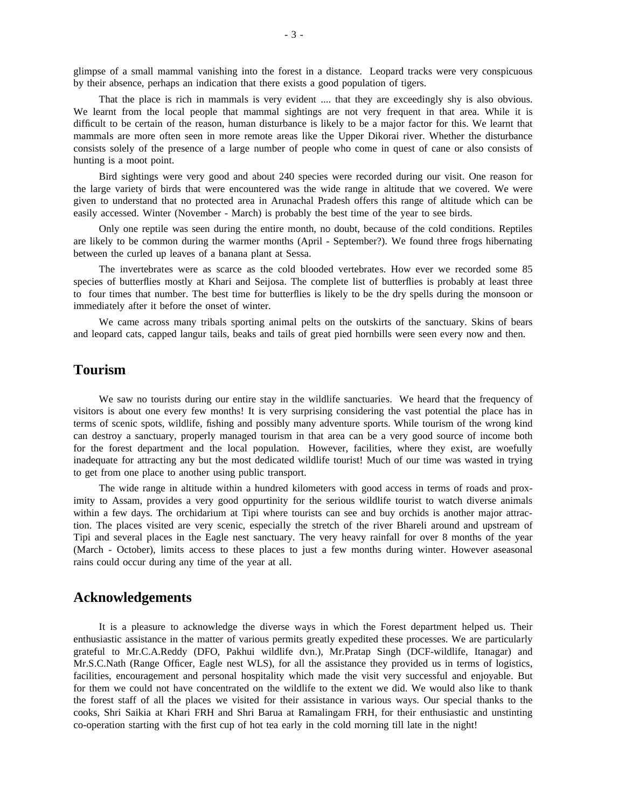g limpse of a small mammal vanishing into the forest in a distance. Leopard tracks were very conspicuous by their absence, perhaps an indication that there exists a good population of tigers.

That the place is rich in mammals is very evident .... that they are exceedingly shy is also obvious. d ifficult to be certain of the reason, human disturbance is likely to be a major factor for this. We learnt that We learnt from the local people that mammal sightings are not very frequent in that area. While it is c onsists solely of the presence of a large number of people who come in quest of cane or also consists of mammals are more often seen in more remote areas like the Upper Dikorai river. Whether the disturbance hunting is a moot point.

Bird sightings were very good and about 240 species were recorded during our visit. One reason for g iven to understand that no protected area in Arunachal Pradesh offers this range of altitude which can be the large variety of birds that were encountered was the wide range in altitude that we covered. We were easily accessed. Winter (November - March) is probably the best time of the year to see birds.

Only one reptile was seen during the entire month, no doubt, because of the cold conditions. Reptiles b etween the curled up leaves of a banana plant at Sessa. are likely to be common during the warmer months (April - September?). We found three frogs hibernating

The invertebrates were as scarce as the cold blooded vertebrates. How ever we recorded some 85 species of butterflies mostly at Khari and Seijosa. The complete list of butterflies is probably at least three t o four times that number. The best time for butterflies is likely to be the dry spells during the monsoon or immediately after it before the onset of winter.

We came across many tribals sporting animal pelts on the outskirts of the sanctuary. Skins of bears and leopard cats, capped langur tails, beaks and tails of great pied hornbills were seen every now and then.

## **T ourism**

We saw no tourists during our entire stay in the wildlife sanctuaries. We heard that the frequency of t erms of scenic spots, wildlife, fishing and possibly many adventure sports. While tourism of the wrong kind visitors is about one every few months! It is very surprising considering the vast potential the place has in can destroy a sanctuary, properly managed tourism in that area can be a very good source of income both f or the forest department and the local population. However, facilities, where they exist, are woefully inadequate for attracting any but the most dedicated wildlife tourist! Much of our time was wasted in trying t o get from one place to another using public transport.

The wide range in altitude within a hundred kilometers with good access in terms of roads and proxw ithin a few days. The orchidarium at Tipi where tourists can see and buy orchids is another major attracimity to Assam, provides a very good oppurtinity for the serious wildlife tourist to watch diverse animals f tion. The places visited are very scenic, especially the stretch of the river Bhareli around and upstream o T ipi and several places in the Eagle nest sanctuary. The very heavy rainfall for over 8 months of the year (March - October), limits access to these places to just a few months during winter. However aseasonal r ains could occur during any time of the year at all.

#### **Acknowledgements**

It is a pleasure to acknowledge the diverse ways in which the Forest department helped us. Their g rateful to Mr.C.A.Reddy (DFO, Pakhui wildlife dvn.), Mr.Pratap Singh (DCF-wildlife, Itanagar) and enthusiastic assistance in the matter of various permits greatly expedited these processes. We are particularly Mr.S.C.Nath (Range Officer, Eagle nest WLS), for all the assistance they provided us in terms of logistics, f acilities, encouragement and personal hospitality which made the visit very successful and enjoyable. But t he forest staff of all the places we visited for their assistance in various ways. Our special thanks to the for them we could not have concentrated on the wildlife to the extent we did. We would also like to thank c o-operation starting with the first cup of hot tea early in the cold morning till late in the night!cooks, Shri Saikia at Khari FRH and Shri Barua at Ramalingam FRH, for their enthusiastic and unstinting